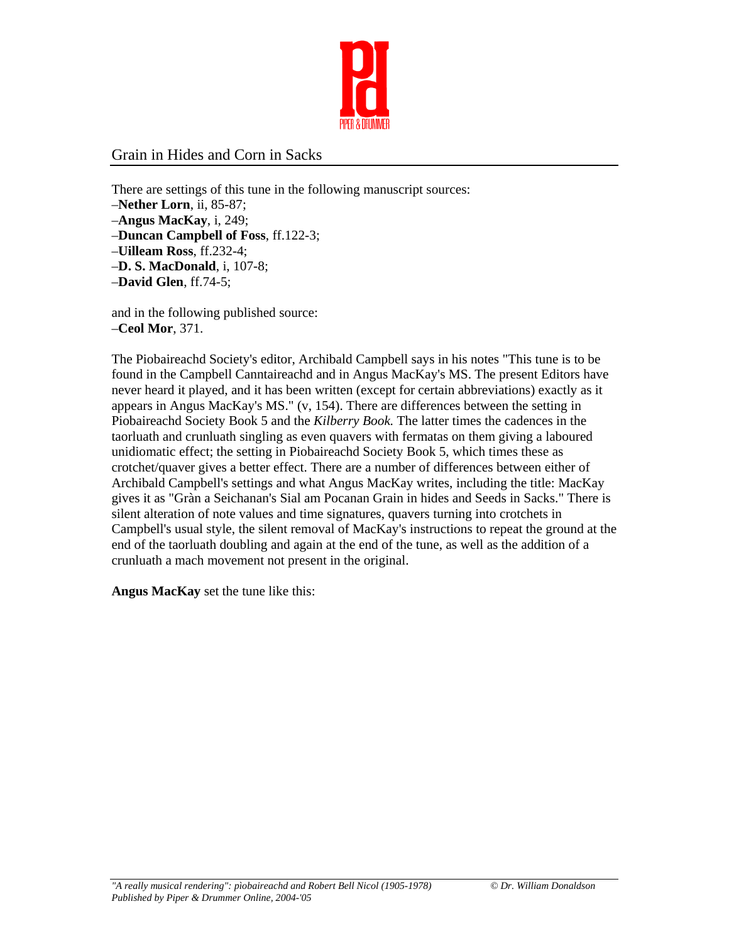

## Grain in Hides and Corn in Sacks

There are settings of this tune in the following manuscript sources:

- –**Nether Lorn**, ii, 85-87;
- –**Angus MacKay**, i, 249;
- –**Duncan Campbell of Foss**, ff.122-3;
- –**Uilleam Ross**, ff.232-4;
- –**D. S. MacDonald**, i, 107-8;
- –**David Glen**, ff.74-5;

and in the following published source: –**Ceol Mor**, 371.

The Piobaireachd Society's editor, Archibald Campbell says in his notes "This tune is to be found in the Campbell Canntaireachd and in Angus MacKay's MS. The present Editors have never heard it played, and it has been written (except for certain abbreviations) exactly as it appears in Angus MacKay's MS." (v, 154). There are differences between the setting in Piobaireachd Society Book 5 and the *Kilberry Book.* The latter times the cadences in the taorluath and crunluath singling as even quavers with fermatas on them giving a laboured unidiomatic effect; the setting in Piobaireachd Society Book 5, which times these as crotchet/quaver gives a better effect. There are a number of differences between either of Archibald Campbell's settings and what Angus MacKay writes, including the title: MacKay gives it as "Gràn a Seichanan's Sial am Pocanan Grain in hides and Seeds in Sacks." There is silent alteration of note values and time signatures, quavers turning into crotchets in Campbell's usual style, the silent removal of MacKay's instructions to repeat the ground at the end of the taorluath doubling and again at the end of the tune, as well as the addition of a crunluath a mach movement not present in the original.

**Angus MacKay** set the tune like this: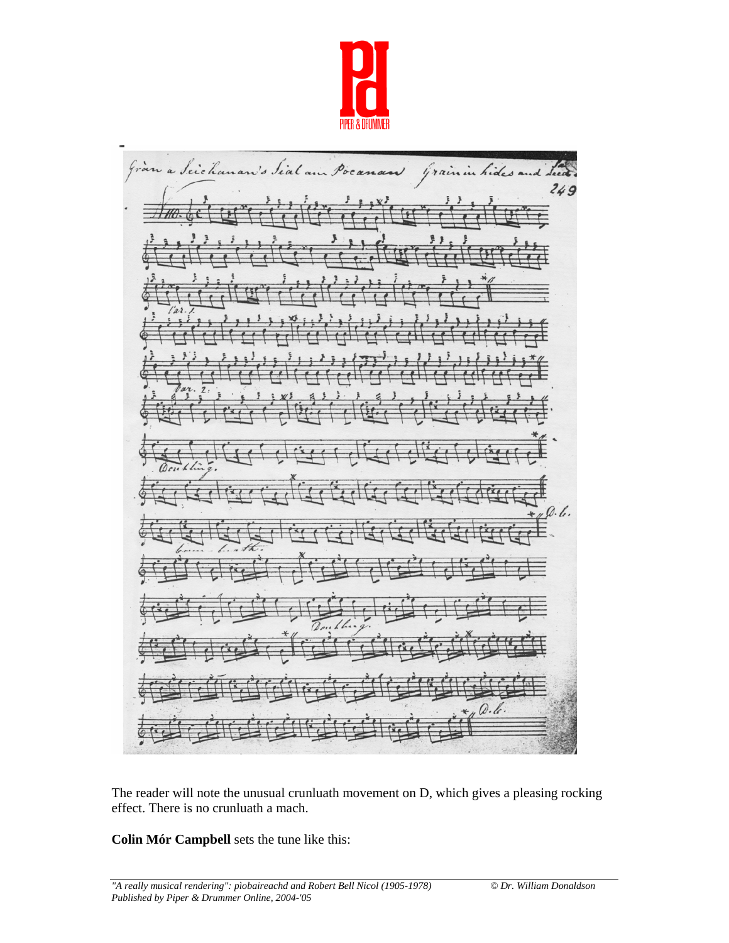

Gran a Seichan v's Sial air Poc Grain in hides and deed.  $249$  $0.6.$  $Q. k.$ 

The reader will note the unusual crunluath movement on D, which gives a pleasing rocking effect. There is no crunluath a mach.

**Colin Mór Campbell** sets the tune like this: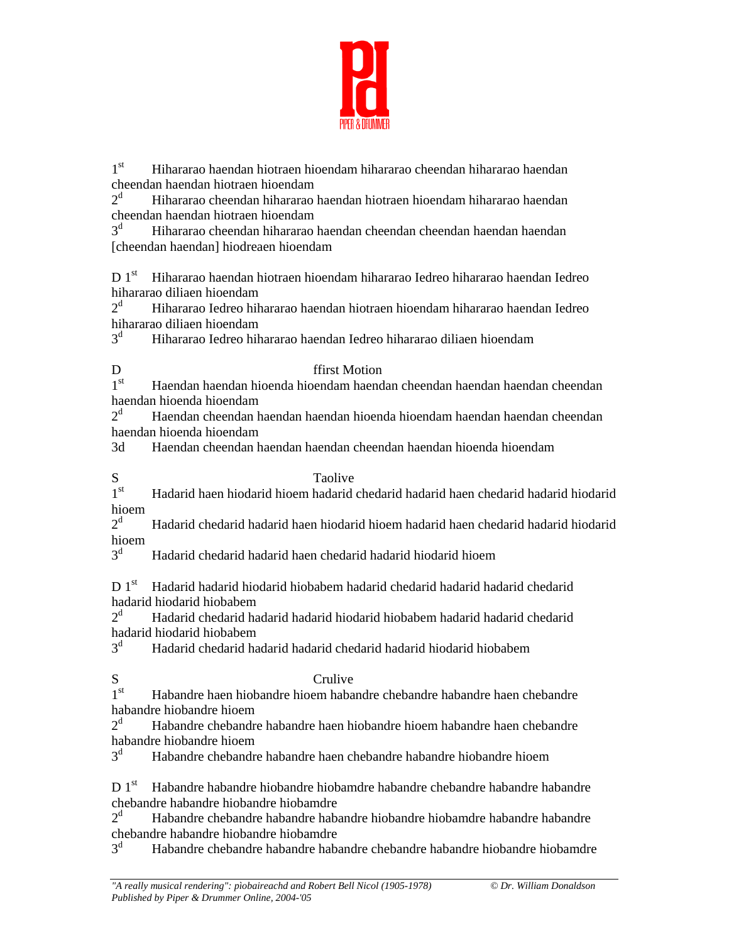

1st Hihararao haendan hiotraen hioendam hihararao cheendan hihararao haendan cheendan haendan hiotraen hioendam

 $2^d$  Hihararao cheendan hihararao haendan hiotraen hioendam hihararao haendan cheendan haendan hiotraen hioendam

 $3<sup>d</sup>$  Hihararao cheendan hihararao haendan cheendan cheendan haendan haendan [cheendan haendan] hiodreaen hioendam

D 1<sup>st</sup> Hihararao haendan hiotraen hioendam hihararao Iedreo hihararao haendan Iedreo hihararao diliaen hioendam

 $2^d$  Hihararao Iedreo hihararao haendan hiotraen hioendam hihararao haendan Iedreo hihararao diliaen hioendam

 $3<sup>d</sup>$ Hihararao Iedreo hihararao haendan Iedreo hihararao diliaen hioendam

## D ffirst Motion

1<sup>st</sup> Haendan haendan hioenda hioendam haendan cheendan haendan cheendan cheendan haendan hioenda hioendam

 $2^d$  Haendan cheendan haendan haendan hioenda hioendam haendan haendan cheendan haendan hioenda hioendam

3d Haendan cheendan haendan haendan cheendan haendan hioenda hioendam

S<br>1<sup>st</sup> Hadarid haen hiodarid hioem hadarid 1st Hadarid haen hiodarid hioem hadarid chedarid hadarid haen chedarid hadarid hiodarid hioem

 $2^d$  Hadarid chedarid hadarid haen hiodarid hioem hadarid haen chedarid hadarid hiodarid hioem

 $3^d$ Hadarid chedarid hadarid haen chedarid hadarid hiodarid hioem

D 1<sup>st</sup> Hadarid hadarid hiodarid hiobabem hadarid chedarid hadarid chedarid hadarid hiodarid hiobabem

 $2^d$  Hadarid chedarid hadarid hadarid hiodarid hiobabem hadarid hadarid chedarid hadarid hiodarid hiobabem

 $3<sup>d</sup>$ Hadarid chedarid hadarid hadarid chedarid hadarid hiodarid hiobabem

S<br>1<sup>st</sup> Habandre haen hiobandre hioem haba Habandre haen hiobandre hioem habandre chebandre habandre haen chebandre habandre hiobandre hioem

 $2^d$  Habandre chebandre habandre haen hiobandre hioem habandre haen chebandre habandre hiobandre hioem

3d Habandre chebandre habandre haen chebandre habandre hiobandre hioem

D 1<sup>st</sup> Habandre habandre hiobandre hiobamdre habandre chebandre habandre habandre chebandre habandre hiobandre hiobamdre

 $2^d$  Habandre chebandre habandre habandre hiobandre hiobamdre habandre habandre chebandre habandre hiobandre hiobamdre

 $3^d$ Habandre chebandre habandre habandre chebandre habandre hiobandre hiobamdre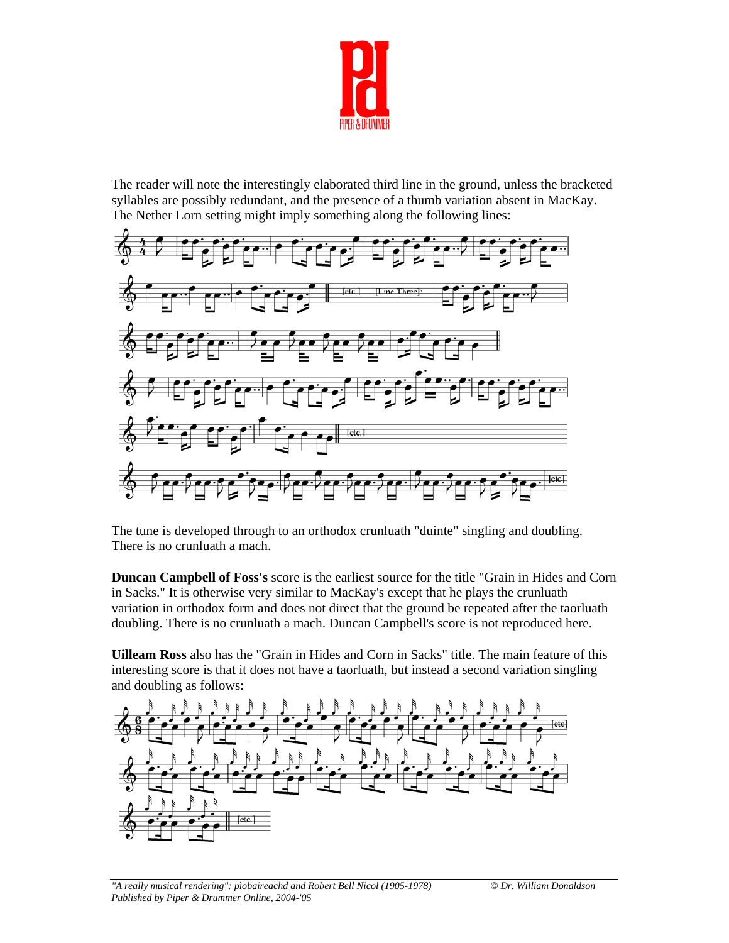

The reader will note the interestingly elaborated third line in the ground, unless the bracketed syllables are possibly redundant, and the presence of a thumb variation absent in MacKay. The Nether Lorn setting might imply something along the following lines:



The tune is developed through to an orthodox crunluath "duinte" singling and doubling. There is no crunluath a mach.

**Duncan Campbell of Foss's** score is the earliest source for the title "Grain in Hides and Corn in Sacks." It is otherwise very similar to MacKay's except that he plays the crunluath variation in orthodox form and does not direct that the ground be repeated after the taorluath doubling. There is no crunluath a mach. Duncan Campbell's score is not reproduced here.

**Uilleam Ross** also has the "Grain in Hides and Corn in Sacks" title. The main feature of this interesting score is that it does not have a taorluath, but instead a second variation singling and doubling as follows: